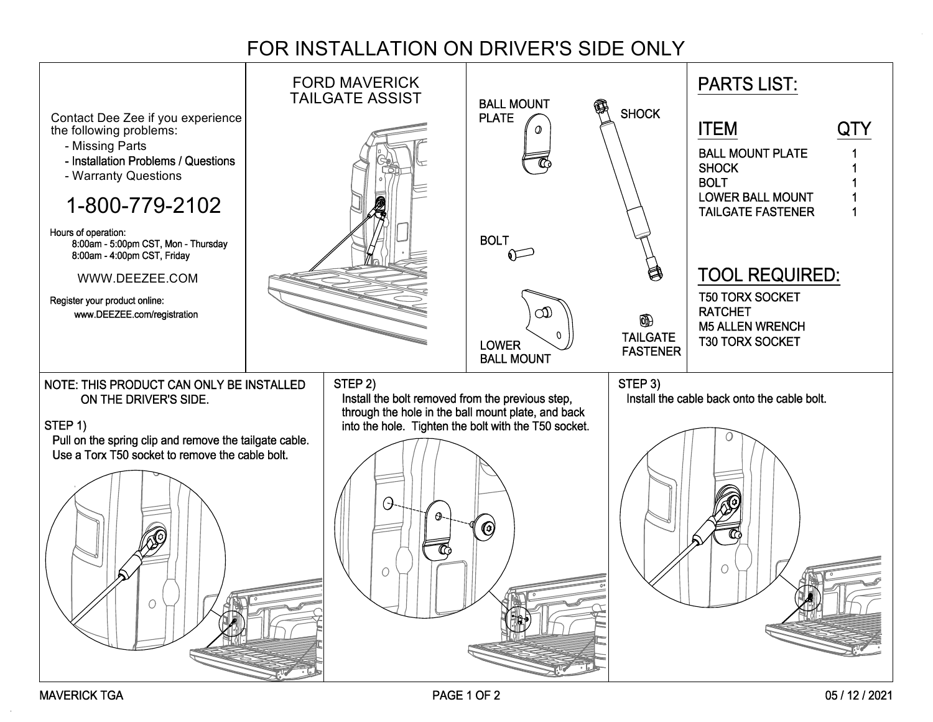## FOR INSTALLATION ON DRIVER'S SIDE ONLY

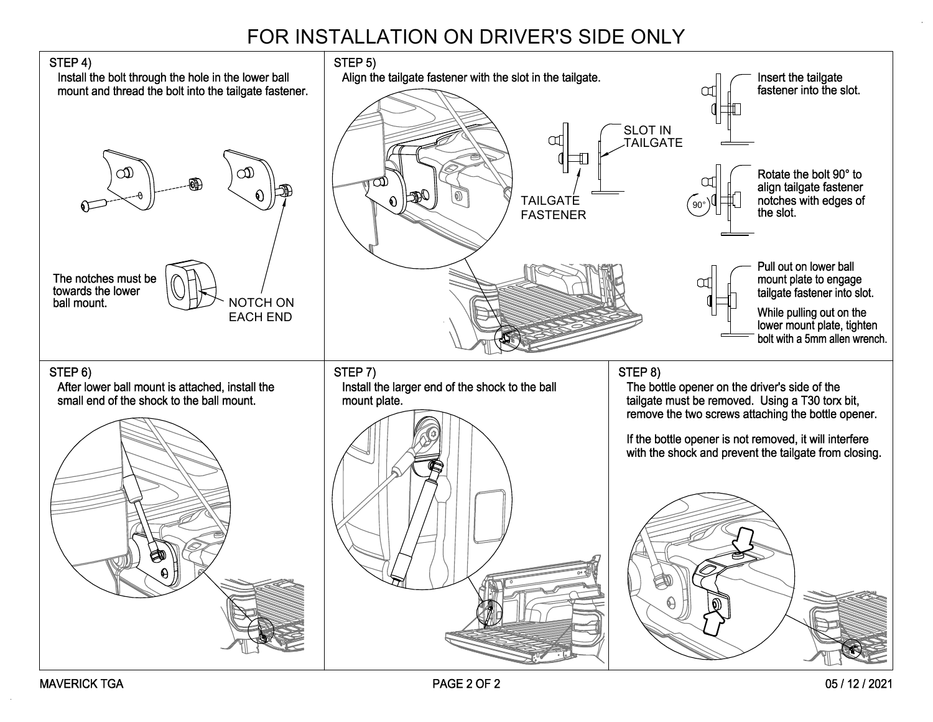## FOR INSTALLATION ON DRIVER'S SIDE ONLY